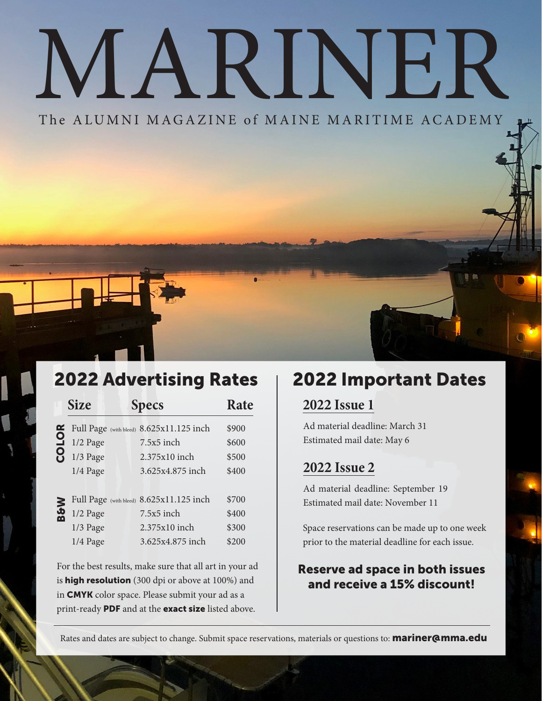# MARINER

The ALUMNI MAGAZINE of MAINE MARITIME ACADEMY

### 2022 Advertising Rates | 2022 Important Dates

|                                                          | <b>Size</b>                              | <b>Specs</b>                                            | Rate  | <b>2022 Issue 1</b>                                                                                          |
|----------------------------------------------------------|------------------------------------------|---------------------------------------------------------|-------|--------------------------------------------------------------------------------------------------------------|
| <b>COLOR</b>                                             | Full Page (with bleed) 8.625x11.125 inch |                                                         | \$900 | Ad material deadline: March 31                                                                               |
|                                                          | $1/2$ Page                               | 7.5x5 inch                                              | \$600 | Estimated mail date: May 6                                                                                   |
|                                                          | $1/3$ Page                               | 2.375x10 inch                                           | \$500 |                                                                                                              |
|                                                          | 1/4 Page                                 | 3.625x4.875 inch                                        | \$400 | <b>2022 Issue 2</b>                                                                                          |
| 9g                                                       |                                          |                                                         |       | Ad material deadline: September 19                                                                           |
|                                                          |                                          | Full Page (with bleed) 8.625x11.125 inch                | \$700 | Estimated mail date: November 11                                                                             |
|                                                          | $1/2$ Page                               | 7.5x5 inch                                              | \$400 |                                                                                                              |
|                                                          | $1/3$ Page                               | $2.375x10$ inch                                         | \$300 | Space reservations can be made up to one week                                                                |
|                                                          | $1/4$ Page                               | 3.625x4.875 inch                                        | \$200 | prior to the material deadline for each issue.                                                               |
|                                                          |                                          | For the best results, make sure that all art in your ad |       | <b>Reserve ad space in both issues</b>                                                                       |
| is <b>high resolution</b> (300 dpi or above at 100%) and |                                          |                                                         |       | and receive a 15% discount!                                                                                  |
|                                                          |                                          | in CMYK color space. Please submit your ad as a         |       |                                                                                                              |
|                                                          |                                          | print-ready PDF and at the exact size listed above.     |       |                                                                                                              |
|                                                          |                                          |                                                         |       | Rates and dates are subject to change. Submit space reservations, materials or questions to: mariner@mma.edu |

#### **2022 Issue 1**

#### **2022 Issue 2**

#### Reserve ad space in both issues and receive a 15% discount!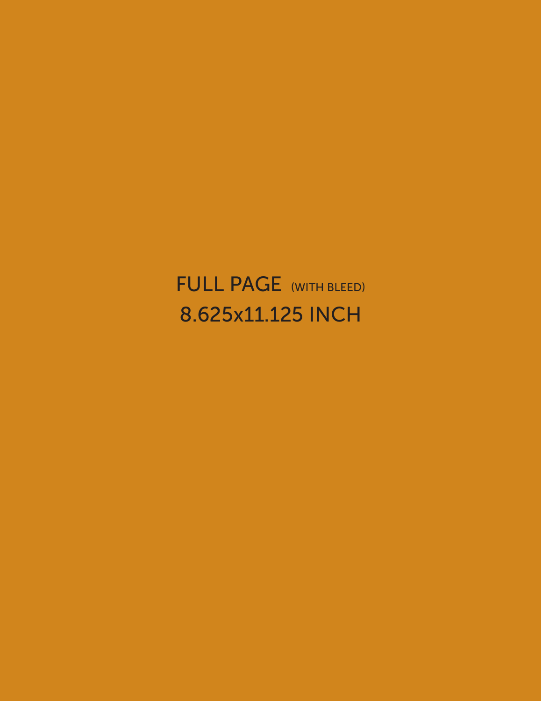## FULL PAGE (WITH BLEED) 8.625x11.125 INCH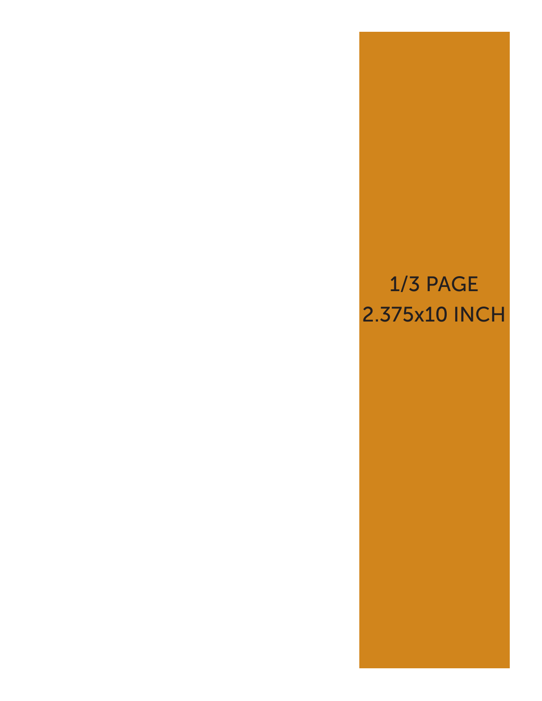## 1/3 PAGE 2.375x10 INCH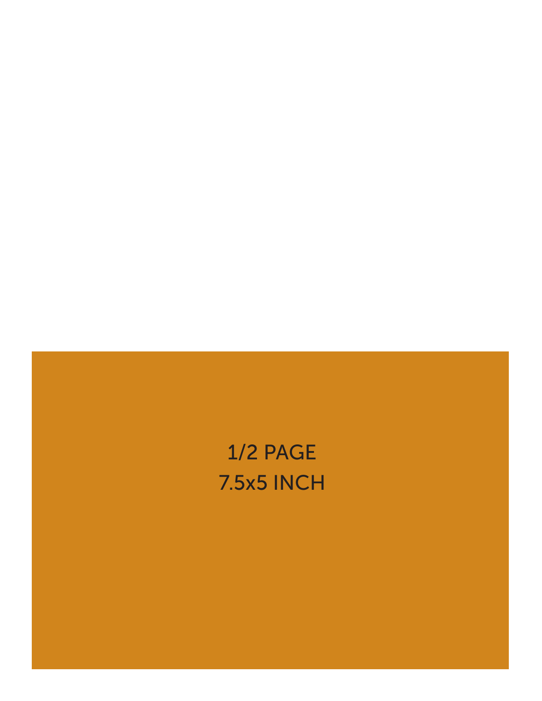## 1/2 PAGE 7.5x5 INCH